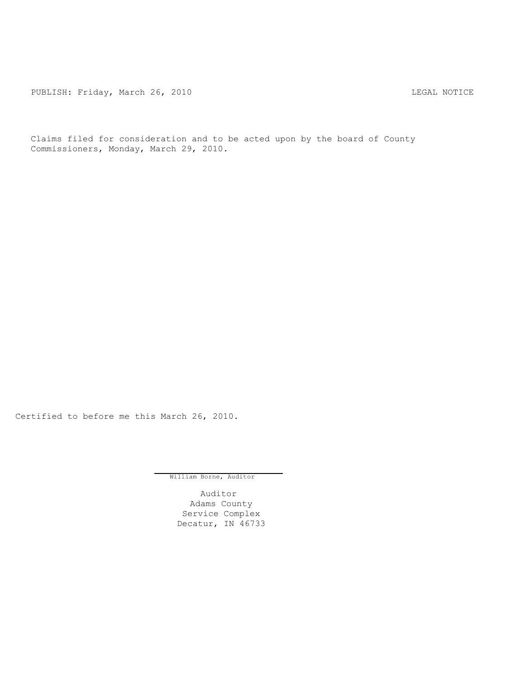PUBLISH: Friday, March 26, 2010 CHA CHANGE CONTROLLY MOTICE

Claims filed for consideration and to be acted upon by the board of County Commissioners, Monday, March 29, 2010.

Certified to before me this March 26, 2010.

William Borne, Auditor

Auditor Adams County Service Complex Decatur, IN 46733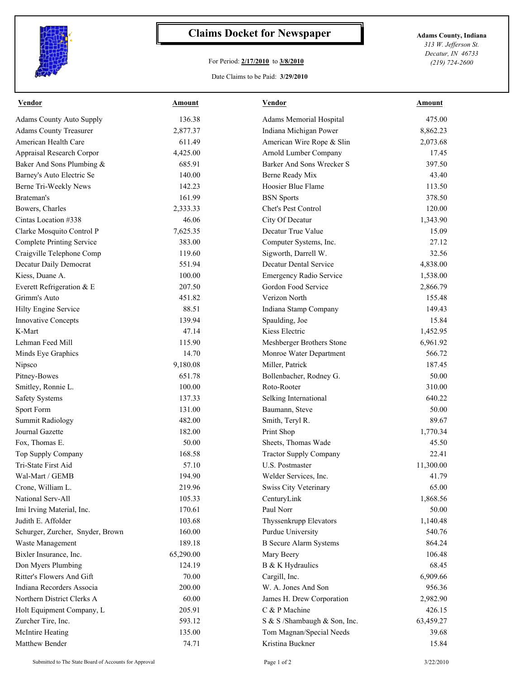

## **Claims Docket for Newspaper Adams County, Indiana**

## For Period: **2/17/2010** to **3/8/2010**

*313 W. Jefferson St. Decatur, IN 46733 (219) 724-2600*

Date Claims to be Paid: **3/29/2010**

| Vendor                           | Amount    | Vendor                         | Amount    |
|----------------------------------|-----------|--------------------------------|-----------|
| <b>Adams County Auto Supply</b>  | 136.38    | Adams Memorial Hospital        | 475.00    |
| <b>Adams County Treasurer</b>    | 2,877.37  | Indiana Michigan Power         | 8,862.23  |
| American Health Care             | 611.49    | American Wire Rope & Slin      | 2,073.68  |
| Appraisal Research Corpor        | 4,425.00  | Arnold Lumber Company          | 17.45     |
| Baker And Sons Plumbing &        | 685.91    | Barker And Sons Wrecker S      | 397.50    |
| Barney's Auto Electric Se        | 140.00    | Berne Ready Mix                | 43.40     |
| Berne Tri-Weekly News            | 142.23    | Hoosier Blue Flame             | 113.50    |
| Brateman's                       | 161.99    | <b>BSN</b> Sports              | 378.50    |
| Bowers, Charles                  | 2,333.33  | Chet's Pest Control            | 120.00    |
| Cintas Location #338             | 46.06     | City Of Decatur                | 1,343.90  |
| Clarke Mosquito Control P        | 7,625.35  | Decatur True Value             | 15.09     |
| Complete Printing Service        | 383.00    | Computer Systems, Inc.         | 27.12     |
| Craigville Telephone Comp        | 119.60    | Sigworth, Darrell W.           | 32.56     |
| Decatur Daily Democrat           | 551.94    | Decatur Dental Service         | 4,838.00  |
| Kiess, Duane A.                  | 100.00    | <b>Emergency Radio Service</b> | 1,538.00  |
| Everett Refrigeration & E        | 207.50    | Gordon Food Service            | 2,866.79  |
| Grimm's Auto                     | 451.82    | Verizon North                  | 155.48    |
| Hilty Engine Service             | 88.51     | Indiana Stamp Company          | 149.43    |
| Innovative Concepts              | 139.94    | Spaulding, Joe                 | 15.84     |
| K-Mart                           | 47.14     | Kiess Electric                 | 1,452.95  |
| Lehman Feed Mill                 | 115.90    | Meshberger Brothers Stone      | 6,961.92  |
| Minds Eye Graphics               | 14.70     | Monroe Water Department        | 566.72    |
| Nipsco                           | 9,180.08  | Miller, Patrick                | 187.45    |
| Pitney-Bowes                     | 651.78    | Bollenbacher, Rodney G.        | 50.00     |
| Smitley, Ronnie L.               | 100.00    | Roto-Rooter                    | 310.00    |
| <b>Safety Systems</b>            | 137.33    | Selking International          | 640.22    |
| Sport Form                       | 131.00    | Baumann, Steve                 | 50.00     |
| <b>Summit Radiology</b>          | 482.00    | Smith, Teryl R.                | 89.67     |
| Journal Gazette                  | 182.00    | Print Shop                     | 1,770.34  |
| Fox, Thomas E.                   | 50.00     | Sheets, Thomas Wade            | 45.50     |
| Top Supply Company               | 168.58    | <b>Tractor Supply Company</b>  | 22.41     |
| Tri-State First Aid              | 57.10     | U.S. Postmaster                | 11,300.00 |
| Wal-Mart / GEMB                  | 194.90    | Welder Services, Inc.          | 41.79     |
| Crone, William L.                | 219.96    | Swiss City Veterinary          | 65.00     |
| National Serv-All                | 105.33    | CenturyLink                    | 1,868.56  |
| Imi Irving Material, Inc.        | 170.61    | Paul Norr                      | 50.00     |
| Judith E. Affolder               | 103.68    | Thyssenkrupp Elevators         | 1,140.48  |
| Schurger, Zurcher, Snyder, Brown | 160.00    | Purdue University              | 540.76    |
| Waste Management                 | 189.18    | <b>B</b> Secure Alarm Systems  | 864.24    |
| Bixler Insurance, Inc.           | 65,290.00 | Mary Beery                     | 106.48    |
| Don Myers Plumbing               | 124.19    | B & K Hydraulics               | 68.45     |
| Ritter's Flowers And Gift        | 70.00     | Cargill, Inc.                  | 6,909.66  |
| Indiana Recorders Associa        | 200.00    | W. A. Jones And Son            | 956.36    |
| Northern District Clerks A       | 60.00     | James H. Drew Corporation      | 2,982.90  |
| Holt Equipment Company, L        | 205.91    | C & P Machine                  | 426.15    |
| Zurcher Tire, Inc.               | 593.12    | S & S /Shambaugh & Son, Inc.   | 63,459.27 |
| <b>McIntire Heating</b>          | 135.00    | Tom Magnan/Special Needs       | 39.68     |
| Matthew Bender                   | 74.71     | Kristina Buckner               | 15.84     |